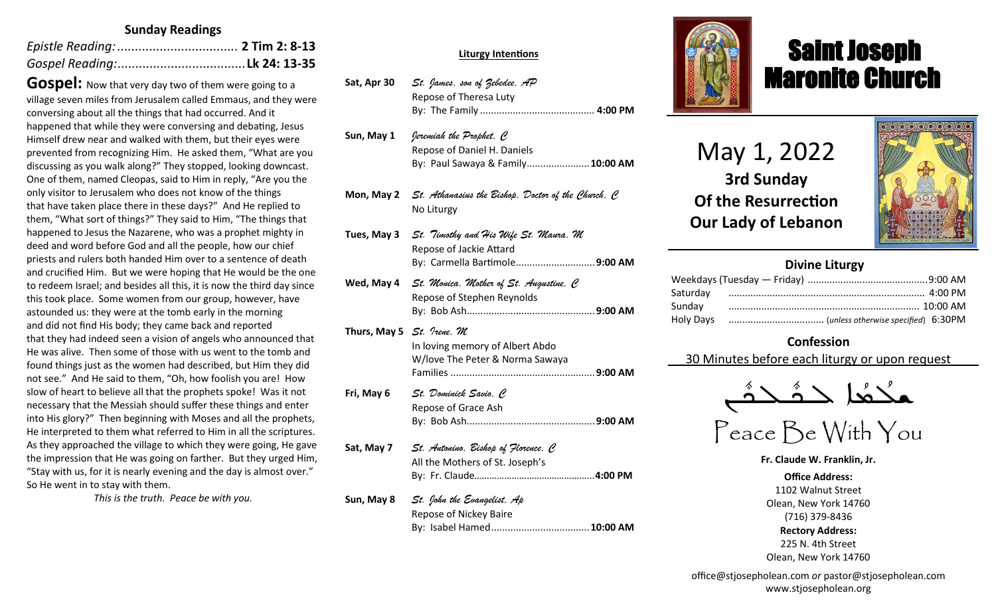## **Sunday Readings**

**Gospel:** Now that very day two of them were going to a village seven miles from Jerusalem called Emmaus, and they were conversing about all the things that had occurred. And it happened that while they were conversing and debating, Jesus Himself drew near and walked with them, but their eyes were prevented from recognizing Him. He asked them, "What are you discussing as you walk along?" They stopped, looking downcast. One of them, named Cleopas, said to Him in reply, "Are you the only visitor to Jerusalem who does not know of the things that have taken place there in these days?" And He replied to them, "What sort of things?" They said to Him, "The things that happened to Jesus the Nazarene, who was a prophet mighty in deed and word before God and all the people, how our chief priests and rulers both handed Him over to a sentence of death and crucified Him. But we were hoping that He would be the one to redeem Israel; and besides all this, it is now the third day since this took place. Some women from our group, however, have astounded us: they were at the tomb early in the morning and did not find His body; they came back and reported that they had indeed seen a vision of angels who announced that He was alive. Then some of those with us went to the tomb and found things just as the women had described, but Him they did not see." And He said to them, "Oh, how foolish you are! How slow of heart to believe all that the prophets spoke! Was it not necessary that the Messiah should suffer these things and enter into His glory?" Then beginning with Moses and all the prophets, He interpreted to them what referred to Him in all the scriptures. As they approached the village to which they were going, He gave the impression that He was going on farther. But they urged Him, "Stay with us, for it is nearly evening and the day is almost over." So He went in to stay with them.

*This is the truth. Peace be with you.*

#### **Sat, Apr 9** *St. Hermas, M* **Liturgy Intentions**

- <code>Sat, Apr 30  $\,$  St. James, son of Zebedee, AP</code> Repose of Theresa Luty **Sun, Apr 10** *The Miracle of the Icon of Christ in Beirut/St. Agabus, C* By: The Family *..........................................* **4:00 PM**
- Sun, May 1 *Jeremiah the Prophet, C* Repose of Daniel H. Daniels **Mon, Apr 11** *St. Antipas, M* By: Paul Sawaya & Family.......................**10:00 AM**
- Mon, May 2 *St. Athanasius the Bishop, Doctor of the Church, C* **Tue, Apr 12** *Sts. Mennas, Hermogenes and Eugraphus, M* No Liturgy
- **Reading: 1 Thes 2:13-17; Lk 13:22-30** No Liturgy **Tues, May 3** *St. Timothy and His Wife St. Maura, M* **Wed, Apr 13** *St. Zosimas, C* By: Carmella Bartimole.............................**9:00 AM**  $Wed$ , May 4 *St. Monica, Mother of St. Augustine, C* **Thur, Apr 14** *Thursday of the Mysteries St. Hermenegild the King, M* By: Bob Ash...............................................**9:00 AM** Repose of Jackie Attard Repose of Stephen Reynolds
- Thurs, May 5 *St. Ireae, M* In loving memory of Albert Abdo **Fri, April 15** *Great Friday of the Crucifixion Pope St. Soter (+175), M* Families .....................................................**9:00 AM Reading: Heb 12:12-21; Jn 19:31-37** The Intentions & Donors **Fri, May 6** *St. Dominick Savio, C* Repose of Grace Ash **Sat, Apr 16** *Great Saturday of the Light St. Bernadette Soubirous,C* By: Bob Ash...............................................**9:00 AM** W/love The Peter & Norma Sawaya
- $\mathsf{Sat}$ ,  $\mathsf{May}$   $\mathcal{\mathcal{I}}$  *St. Antonino, Bishop of Florence,*  $\mathcal C$ All the Mothers of St. Joseph's **Sun, Apr 17** *The Glorious Resurrection Pope St. Agapitus (+536), C* By: Fr. Claude*………………………………………...***4:00 PM**
- Sun, May 8 *St. John the Evangelist, Ap* Repose of Nickey Baire By: Isabel Hamed....................................**10:00 AM**



# Saint Joseph Maronite Church

May 1, 2022 **3rd Sunday Of the Resurrection Our Lady of Lebanon**

ī



## **Divine Liturgy**

# **Confession**

30 Minutes before each liturgy or upon request

ـܢ —<br>∧<br>∩ مكْتُعا حَدَّثَـحَدَّ  $\frac{1}{2}$ ا<br>م ۔<br>و

Peace Be With You

**Fr. Claude W. Franklin, Jr.**

**Office Address:** 1102 Walnut Street Olean, New York 14760 (716) 379-8436 **Rectory Address:** 225 N. 4th Street Olean, New York 14760

office@stjosepholean.com *or* pastor@stjosepholean.com www.stjosepholean.org